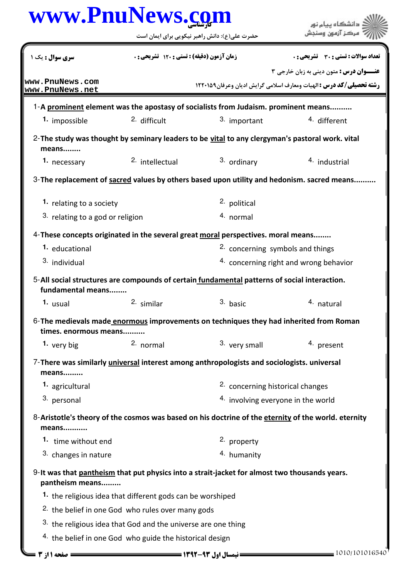|                                     | www.PnuNews.com                                                            |                                                 |  |
|-------------------------------------|----------------------------------------------------------------------------|-------------------------------------------------|--|
|                                     | حضرت علی(ع): دانش راهبر نیکویی برای ایمان است                              |                                                 |  |
| <b>سری سوال :</b> یک ۱              | زمان آزمون (دقیقه) : تستی : ۱۲۰ تشریحی : 0                                 | تعداد سوالات : تستي : 30 - تشريحي : 0           |  |
|                                     |                                                                            | <b>عنـــوان درس :</b> متون ديني به زبان خارجي ٣ |  |
| www.PnuNews.com<br> www.PnuNews.net | <b>رشته تحصیلی/کد درس :</b> الهیات ومعارف اسلامی گرایش ادیان وعرفان1۲۲۰۱۵۹ |                                                 |  |
|                                     |                                                                            |                                                 |  |

|                                                                                                                   | 1-A prominent element was the apostasy of socialists from Judaism. prominent means |                                             |                                        |  |  |  |
|-------------------------------------------------------------------------------------------------------------------|------------------------------------------------------------------------------------|---------------------------------------------|----------------------------------------|--|--|--|
| 1. impossible                                                                                                     | 2. difficult                                                                       | 3. important                                | 4. different                           |  |  |  |
| 2-The study was thought by seminary leaders to be vital to any clergyman's pastoral work. vital<br>means          |                                                                                    |                                             |                                        |  |  |  |
| 1. necessary                                                                                                      | <sup>2.</sup> intellectual                                                         | 3. ordinary                                 | 4. industrial                          |  |  |  |
| 3-The replacement of sacred values by others based upon utility and hedonism. sacred means                        |                                                                                    |                                             |                                        |  |  |  |
| 1. relating to a society                                                                                          |                                                                                    | 2. political                                |                                        |  |  |  |
| <sup>3.</sup> relating to a god or religion                                                                       |                                                                                    | 4. normal                                   |                                        |  |  |  |
| 4-These concepts originated in the several great moral perspectives. moral means                                  |                                                                                    |                                             |                                        |  |  |  |
| 1. educational                                                                                                    |                                                                                    | 2. concerning symbols and things            |                                        |  |  |  |
| <sup>3.</sup> individual                                                                                          |                                                                                    |                                             | 4. concerning right and wrong behavior |  |  |  |
| 5-All social structures are compounds of certain fundamental patterns of social interaction.<br>fundamental means |                                                                                    |                                             |                                        |  |  |  |
| 1. usual                                                                                                          | 2. similar                                                                         | 3. basic                                    | 4. natural                             |  |  |  |
| 6-The medievals made enormous improvements on techniques they had inherited from Roman<br>times. enormous means   |                                                                                    |                                             |                                        |  |  |  |
| 1. very big                                                                                                       | 2. normal                                                                          | 3. very small                               | 4. present                             |  |  |  |
| 7-There was similarly <i>universal</i> interest among anthropologists and sociologists. universal<br>means        |                                                                                    |                                             |                                        |  |  |  |
| 1. agricultural                                                                                                   |                                                                                    | <sup>2.</sup> concerning historical changes |                                        |  |  |  |
| 3. personal                                                                                                       |                                                                                    |                                             | 4. involving everyone in the world     |  |  |  |
| 8-Aristotle's theory of the cosmos was based on his doctrine of the eternity of the world. eternity<br>means      |                                                                                    |                                             |                                        |  |  |  |
| 1. time without end                                                                                               |                                                                                    | 2. property                                 |                                        |  |  |  |
| 3. changes in nature                                                                                              |                                                                                    | 4. humanity                                 |                                        |  |  |  |

## 9-It was that <u>pantheism</u> that put physics into a strait-jacket for almost two thousands years. pantheism means.........

- 1. the religious idea that different gods can be worshiped
- <sup>2.</sup> the belief in one God who rules over many gods
- $3.$  the religious idea that God and the universe are one thing
- $4.$  the belief in one God who guide the historical design

1010/101016540 1392-93 نيمسال اول 1 از 3 صفحه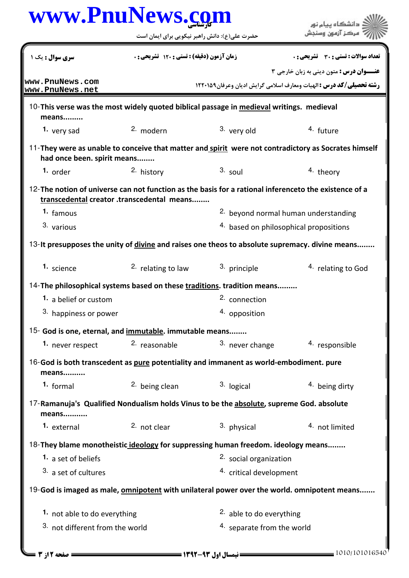|                                 | www.PnuNews.com                                                                          |                            | دانشگاه ييام نور                                                                                      |
|---------------------------------|------------------------------------------------------------------------------------------|----------------------------|-------------------------------------------------------------------------------------------------------|
|                                 | حضرت علی(ع): دانش راهبر نیکویی برای ایمان است                                            |                            |                                                                                                       |
| سری سوال : یک ۱                 | زمان آزمون (دقيقه) : تستى : 120 تشريحي : 0                                               |                            | <b>تعداد سوالات : تستی : 30 ٪ تشریحی : 0</b>                                                          |
| www.PnuNews.com                 |                                                                                          |                            | <b>عنـــوان درس:</b> متون دینی به زبان خارجی ۳                                                        |
| www.PnuNews.net                 |                                                                                          |                            | <b>رشته تحصیلی/کد درس : ال</b> هیات ومعارف اسلامی گرایش ادیان وعرفان1۲۲۰۱۵۹                           |
| means                           | 10-This verse was the most widely quoted biblical passage in medieval writings. medieval |                            |                                                                                                       |
| 1. very sad                     | 2. modern                                                                                | 3. very old                | 4. future                                                                                             |
| had once been. spirit means     |                                                                                          |                            | 11-They were as unable to conceive that matter and spirit were not contradictory as Socrates himself  |
| 1. order                        | 2. history                                                                               | $3.$ soul                  | 4. theory                                                                                             |
|                                 | transcedental creator .transcedental means                                               |                            | 12-The notion of universe can not function as the basis for a rational inferenceto the existence of a |
| 1. famous                       |                                                                                          |                            | <sup>2.</sup> beyond normal human understanding                                                       |
| 3. various                      |                                                                                          |                            | 4. based on philosophical propositions                                                                |
|                                 |                                                                                          |                            | 13-It presupposes the unity of divine and raises one theos to absolute supremacy. divine means        |
| 1. science                      | <sup>2.</sup> relating to law                                                            | 3. principle               | <sup>4.</sup> relating to God                                                                         |
|                                 | 14-The philosophical systems based on these traditions. tradition means                  |                            |                                                                                                       |
| <b>1.</b> a belief or custom    |                                                                                          | <sup>2.</sup> connection   |                                                                                                       |
| 3. happiness or power           |                                                                                          | 4. opposition              |                                                                                                       |
|                                 | 15- God is one, eternal, and immutable. immutable means                                  |                            |                                                                                                       |
| 1. never respect                | <sup>2</sup> reasonable                                                                  | 3. never change            | 4. responsible                                                                                        |
| means                           | 16-God is both transcedent as pure potentiality and immanent as world-embodiment. pure   |                            |                                                                                                       |
| 1. formal                       | <sup>2.</sup> being clean                                                                | 3. logical                 | 4. being dirty                                                                                        |
| means                           | 17-Ramanuja's Qualified Nondualism holds Vinus to be the absolute, supreme God. absolute |                            |                                                                                                       |
| 1. external                     | <sup>2.</sup> not clear                                                                  | 3. physical                | 4. not limited                                                                                        |
|                                 | 18-They blame monotheistic ideology for suppressing human freedom. ideology means        |                            |                                                                                                       |
| 1. a set of beliefs             |                                                                                          | 2. social organization     |                                                                                                       |
| 3. a set of cultures            |                                                                                          | 4. critical development    |                                                                                                       |
|                                 |                                                                                          |                            | 19-God is imaged as male, omnipotent with unilateral power over the world. omnipotent means           |
|                                 | 1. not able to do everything                                                             |                            | <sup>2</sup> able to do everything                                                                    |
| 3. not different from the world |                                                                                          | 4. separate from the world |                                                                                                       |